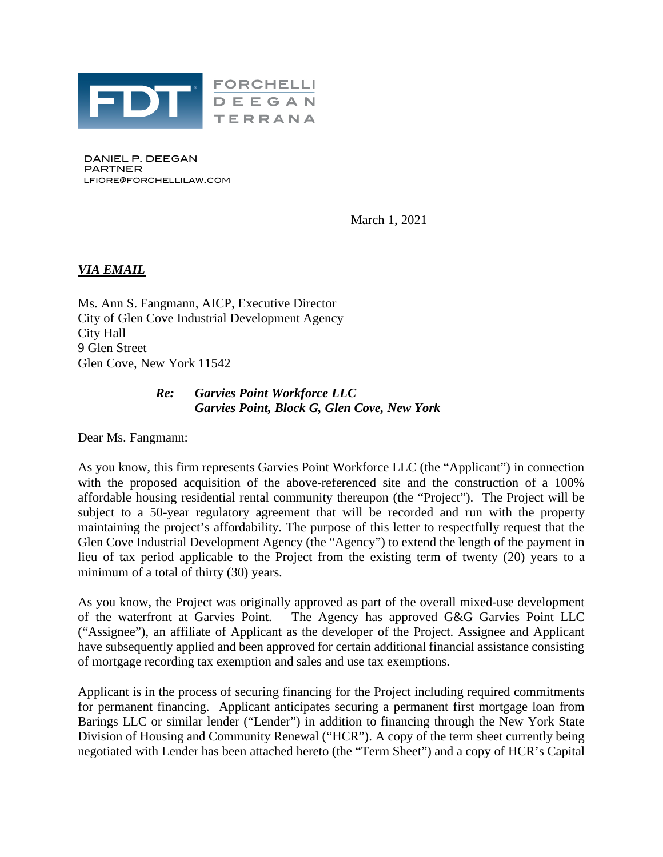

DANIEL P. DEEGAN PARTNER LFIORE@FORCHELLILAW.COM

March 1, 2021

## *VIA EMAIL*

Ms. Ann S. Fangmann, AICP, Executive Director City of Glen Cove Industrial Development Agency City Hall 9 Glen Street Glen Cove, New York 11542

## *Re: Garvies Point Workforce LLC Garvies Point, Block G, Glen Cove, New York*

Dear Ms. Fangmann:

As you know, this firm represents Garvies Point Workforce LLC (the "Applicant") in connection with the proposed acquisition of the above-referenced site and the construction of a 100% affordable housing residential rental community thereupon (the "Project"). The Project will be subject to a 50-year regulatory agreement that will be recorded and run with the property maintaining the project's affordability. The purpose of this letter to respectfully request that the Glen Cove Industrial Development Agency (the "Agency") to extend the length of the payment in lieu of tax period applicable to the Project from the existing term of twenty (20) years to a minimum of a total of thirty (30) years.

As you know, the Project was originally approved as part of the overall mixed-use development of the waterfront at Garvies Point. The Agency has approved G&G Garvies Point LLC ("Assignee"), an affiliate of Applicant as the developer of the Project. Assignee and Applicant have subsequently applied and been approved for certain additional financial assistance consisting of mortgage recording tax exemption and sales and use tax exemptions.

Applicant is in the process of securing financing for the Project including required commitments for permanent financing. Applicant anticipates securing a permanent first mortgage loan from Barings LLC or similar lender ("Lender") in addition to financing through the New York State Division of Housing and Community Renewal ("HCR"). A copy of the term sheet currently being negotiated with Lender has been attached hereto (the "Term Sheet") and a copy of HCR's Capital